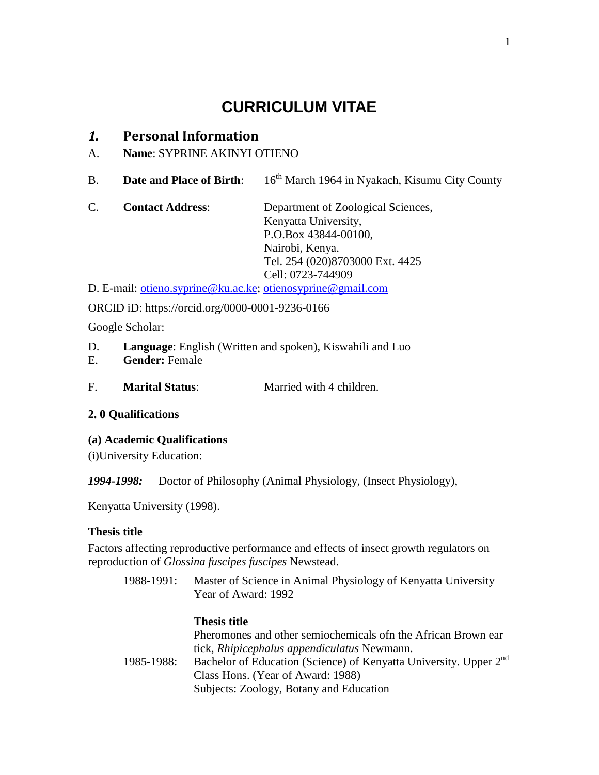# **CURRICULUM VITAE**

# *1.* **Personal Information**

- A. **Name**: SYPRINE AKINYI OTIENO
- B. **Date and Place of Birth**: 16<sup>th</sup> March 1964 in Nyakach, Kisumu City County
- C. **Contact Address**: Department of Zoological Sciences, Kenyatta University, P.O.Box 43844-00100, Nairobi, Kenya. Tel. 254 (020)8703000 Ext. 4425 Cell: 0723-744909

D. E-mail: [otieno.syprine@ku.ac.ke;](mailto:otieno.syprine@ku.ac.ke) [otienosyprine@gmail.com](mailto:otienosyprine@gmail.com)

ORCID iD: https://orcid.org/0000-0001-9236-0166

Google Scholar:

- D. **Language**: English (Written and spoken), Kiswahili and Luo
- E. **Gender:** Female
- F. **Marital Status**: Married with 4 children.

# **2. 0 Qualifications**

**(a) Academic Qualifications**

(i)University Education:

*1994-1998:* Doctor of Philosophy (Animal Physiology, (Insect Physiology),

Kenyatta University (1998).

# **Thesis title**

Factors affecting reproductive performance and effects of insect growth regulators on reproduction of *Glossina fuscipes fuscipes* Newstead.

1988-1991: Master of Science in Animal Physiology of Kenyatta University Year of Award: 1992

### **Thesis title**

Pheromones and other semiochemicals ofn the African Brown ear tick, *Rhipicephalus appendiculatus* Newmann. 1985-1988: Bachelor of Education (Science) of Kenyatta University. Upper 2<sup>nd</sup> Class Hons. (Year of Award: 1988) Subjects: Zoology, Botany and Education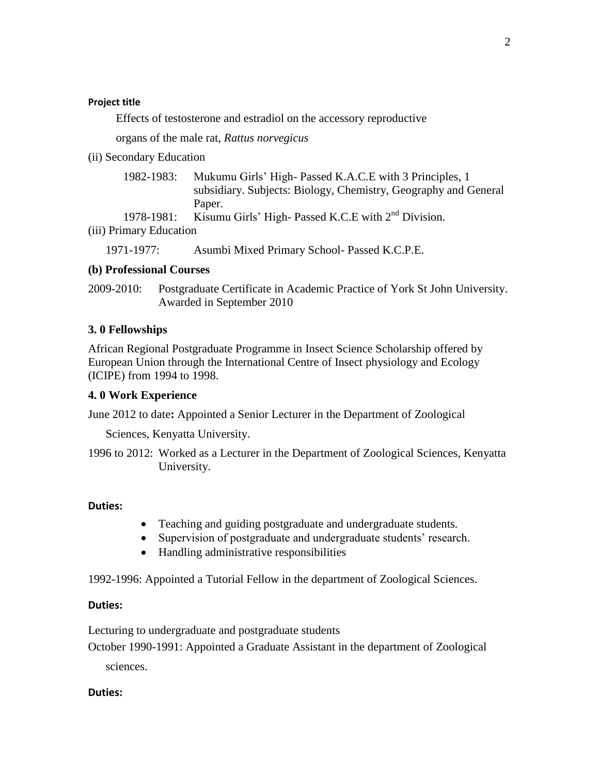#### **Project title**

Effects of testosterone and estradiol on the accessory reproductive

organs of the male rat, *Rattus norvegicus*

(ii) Secondary Education

| 1982-1983: | Mukumu Girls' High-Passed K.A.C.E with 3 Principles, 1          |
|------------|-----------------------------------------------------------------|
|            | subsidiary. Subjects: Biology, Chemistry, Geography and General |
|            | Paper.                                                          |
| 1978-1981: | Kisumu Girls' High- Passed K.C.E with $2nd$ Division.           |
|            |                                                                 |

(iii) Primary Education

1971-1977: Asumbi Mixed Primary School- Passed K.C.P.E.

### **(b) Professional Courses**

2009-2010: Postgraduate Certificate in Academic Practice of York St John University. Awarded in September 2010

### **3. 0 Fellowships**

African Regional Postgraduate Programme in Insect Science Scholarship offered by European Union through the International Centre of Insect physiology and Ecology (ICIPE) from 1994 to 1998.

### **4. 0 Work Experience**

June 2012 to date**:** Appointed a Senior Lecturer in the Department of Zoological

Sciences, Kenyatta University.

1996 to 2012: Worked as a Lecturer in the Department of Zoological Sciences, Kenyatta University.

### **Duties:**

- Teaching and guiding postgraduate and undergraduate students.
- Supervision of postgraduate and undergraduate students' research.
- Handling administrative responsibilities

1992-1996: Appointed a Tutorial Fellow in the department of Zoological Sciences.

### **Duties:**

Lecturing to undergraduate and postgraduate students

October 1990-1991: Appointed a Graduate Assistant in the department of Zoological sciences.

### **Duties:**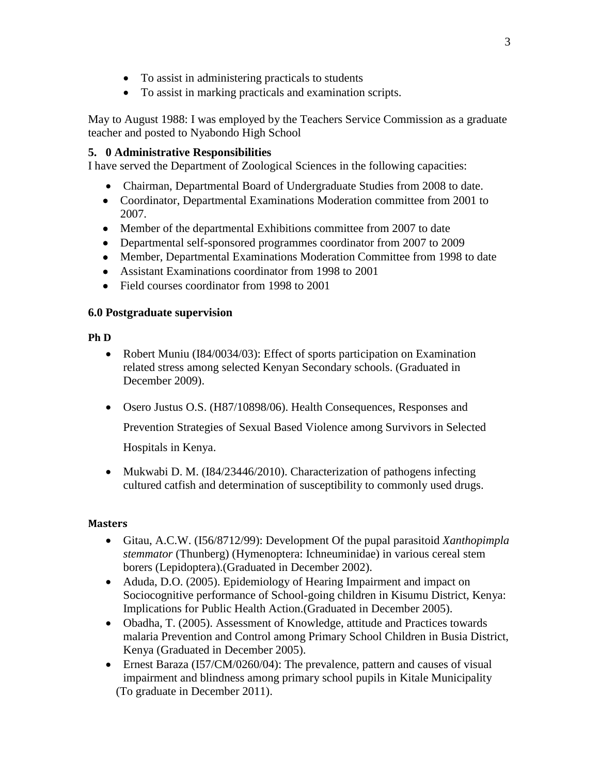- To assist in administering practicals to students
- To assist in marking practicals and examination scripts.

May to August 1988: I was employed by the Teachers Service Commission as a graduate teacher and posted to Nyabondo High School

# **5. 0 Administrative Responsibilities**

I have served the Department of Zoological Sciences in the following capacities:

- Chairman, Departmental Board of Undergraduate Studies from 2008 to date.
- Coordinator, Departmental Examinations Moderation committee from 2001 to 2007.
- Member of the departmental Exhibitions committee from 2007 to date
- Departmental self-sponsored programmes coordinator from 2007 to 2009
- Member, Departmental Examinations Moderation Committee from 1998 to date
- Assistant Examinations coordinator from 1998 to 2001
- Field courses coordinator from 1998 to 2001

# **6.0 Postgraduate supervision**

# **Ph D**

- Robert Muniu (I84/0034/03): Effect of sports participation on Examination related stress among selected Kenyan Secondary schools. (Graduated in December 2009).
- Osero Justus O.S. (H87/10898/06). Health Consequences, Responses and

Prevention Strategies of Sexual Based Violence among Survivors in Selected Hospitals in Kenya.

• Mukwabi D. M. (184/23446/2010). Characterization of pathogens infecting cultured catfish and determination of susceptibility to commonly used drugs.

# **Masters**

- Gitau, A.C.W. (I56/8712/99): Development Of the pupal parasitoid *Xanthopimpla stemmator* (Thunberg) (Hymenoptera: Ichneuminidae) in various cereal stem borers (Lepidoptera).(Graduated in December 2002).
- Aduda, D.O. (2005). Epidemiology of Hearing Impairment and impact on Sociocognitive performance of School-going children in Kisumu District, Kenya: Implications for Public Health Action.(Graduated in December 2005).
- Obadha, T. (2005). Assessment of Knowledge, attitude and Practices towards malaria Prevention and Control among Primary School Children in Busia District, Kenya (Graduated in December 2005).
- Ernest Baraza (I57/CM/0260/04): The prevalence, pattern and causes of visual impairment and blindness among primary school pupils in Kitale Municipality (To graduate in December 2011).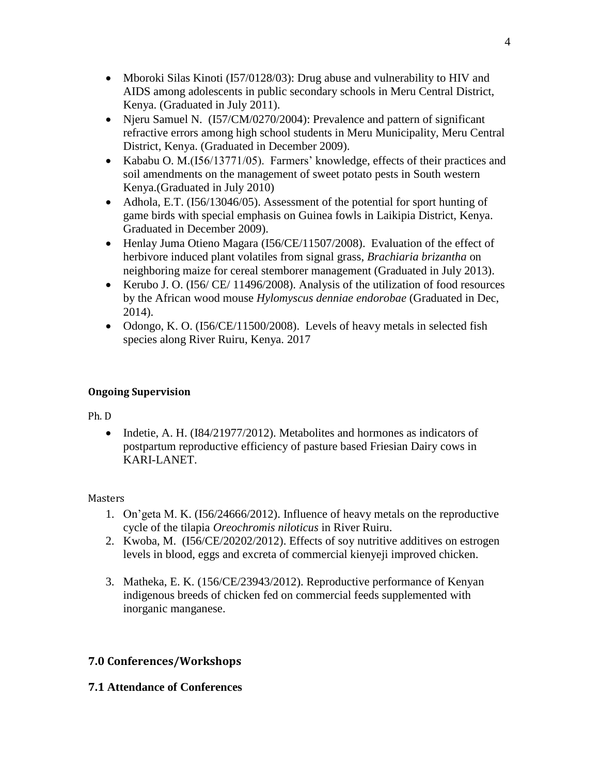- Mboroki Silas Kinoti (157/0128/03): Drug abuse and vulnerability to HIV and AIDS among adolescents in public secondary schools in Meru Central District, Kenya. (Graduated in July 2011).
- Njeru Samuel N. (I57/CM/0270/2004): Prevalence and pattern of significant refractive errors among high school students in Meru Municipality, Meru Central District, Kenya. (Graduated in December 2009).
- Kababu O. M.(I56/13771/05). Farmers' knowledge, effects of their practices and soil amendments on the management of sweet potato pests in South western Kenya.(Graduated in July 2010)
- Adhola, E.T. (I56/13046/05). Assessment of the potential for sport hunting of game birds with special emphasis on Guinea fowls in Laikipia District, Kenya. Graduated in December 2009).
- Henlay Juma Otieno Magara (I56/CE/11507/2008). Evaluation of the effect of herbivore induced plant volatiles from signal grass, *Brachiaria brizantha* on neighboring maize for cereal stemborer management (Graduated in July 2013).
- Kerubo J. O. (156/ CE/ 11496/2008). Analysis of the utilization of food resources by the African wood mouse *Hylomyscus denniae endorobae* (Graduated in Dec, 2014).
- Odongo, K. O. (I56/CE/11500/2008). Levels of heavy metals in selected fish species along River Ruiru, Kenya. 2017

# **Ongoing Supervision**

Ph. D

• Indetie, A. H. ( $I84/21977/2012$ ). Metabolites and hormones as indicators of postpartum reproductive efficiency of pasture based Friesian Dairy cows in KARI-LANET.

# Masters

- 1. On'geta M. K. (I56/24666/2012). Influence of heavy metals on the reproductive cycle of the tilapia *Oreochromis niloticus* in River Ruiru.
- 2. Kwoba, M. (I56/CE/20202/2012). Effects of soy nutritive additives on estrogen levels in blood, eggs and excreta of commercial kienyeji improved chicken.
- 3. Matheka, E. K. (156/CE/23943/2012). Reproductive performance of Kenyan indigenous breeds of chicken fed on commercial feeds supplemented with inorganic manganese.

# **7.0 Conferences/Workshops**

# **7.1 Attendance of Conferences**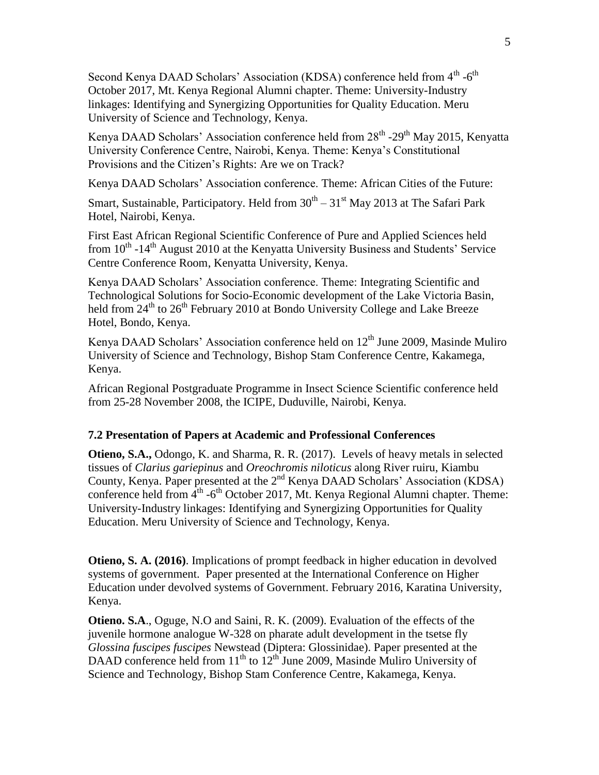Second Kenya DAAD Scholars' Association (KDSA) conference held from 4<sup>th</sup> -6<sup>th</sup> October 2017, Mt. Kenya Regional Alumni chapter. Theme: University-Industry linkages: Identifying and Synergizing Opportunities for Quality Education. Meru University of Science and Technology, Kenya.

Kenya DAAD Scholars' Association conference held from  $28^{th}$  - $29^{th}$  May 2015, Kenyatta University Conference Centre, Nairobi, Kenya. Theme: Kenya's Constitutional Provisions and the Citizen's Rights: Are we on Track?

Kenya DAAD Scholars' Association conference. Theme: African Cities of the Future:

Smart, Sustainable, Participatory. Held from  $30<sup>th</sup> - 31<sup>st</sup>$  May 2013 at The Safari Park Hotel, Nairobi, Kenya.

First East African Regional Scientific Conference of Pure and Applied Sciences held from  $10^{th}$  -14<sup>th</sup> August 2010 at the Kenyatta University Business and Students' Service Centre Conference Room, Kenyatta University, Kenya.

Kenya DAAD Scholars' Association conference. Theme: Integrating Scientific and Technological Solutions for Socio-Economic development of the Lake Victoria Basin, held from  $24<sup>th</sup>$  to  $26<sup>th</sup>$  February 2010 at Bondo University College and Lake Breeze Hotel, Bondo, Kenya.

Kenya DAAD Scholars' Association conference held on  $12<sup>th</sup>$  June 2009, Masinde Muliro University of Science and Technology, Bishop Stam Conference Centre, Kakamega, Kenya.

African Regional Postgraduate Programme in Insect Science Scientific conference held from 25-28 November 2008, the ICIPE, Duduville, Nairobi, Kenya.

#### **7.2 Presentation of Papers at Academic and Professional Conferences**

**Otieno, S.A.,** Odongo, K. and Sharma, R. R. (2017). Levels of heavy metals in selected tissues of *Clarius gariepinus* and *Oreochromis niloticus* along River ruiru, Kiambu County, Kenya. Paper presented at the 2nd Kenya DAAD Scholars' Association (KDSA) conference held from  $4<sup>th</sup>$  -6<sup>th</sup> October 2017, Mt. Kenya Regional Alumni chapter. Theme: University-Industry linkages: Identifying and Synergizing Opportunities for Quality Education. Meru University of Science and Technology, Kenya.

**Otieno, S. A. (2016)**. Implications of prompt feedback in higher education in devolved systems of government. Paper presented at the International Conference on Higher Education under devolved systems of Government. February 2016, Karatina University, Kenya.

**Otieno. S.A**., Oguge, N.O and Saini, R. K. (2009). Evaluation of the effects of the juvenile hormone analogue W-328 on pharate adult development in the tsetse fly *Glossina fuscipes fuscipes* Newstead (Diptera: Glossinidae). Paper presented at the DAAD conference held from  $11<sup>th</sup>$  to  $12<sup>th</sup>$  June 2009, Masinde Muliro University of Science and Technology, Bishop Stam Conference Centre, Kakamega, Kenya.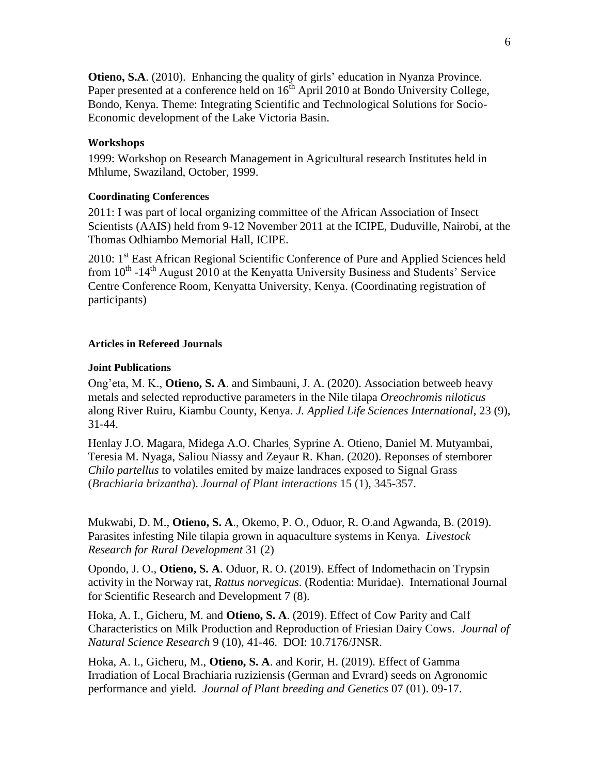**Otieno, S.A**. (2010). Enhancing the quality of girls' education in Nyanza Province. Paper presented at a conference held on 16<sup>th</sup> April 2010 at Bondo University College, Bondo, Kenya. Theme: Integrating Scientific and Technological Solutions for Socio-Economic development of the Lake Victoria Basin.

#### **Workshops**

1999: Workshop on Research Management in Agricultural research Institutes held in Mhlume, Swaziland, October, 1999.

#### **Coordinating Conferences**

2011: I was part of local organizing committee of the African Association of Insect Scientists (AAIS) held from 9-12 November 2011 at the ICIPE, Duduville, Nairobi, at the Thomas Odhiambo Memorial Hall, ICIPE.

2010: 1<sup>st</sup> East African Regional Scientific Conference of Pure and Applied Sciences held from  $10^{th}$  -14<sup>th</sup> August 2010 at the Kenyatta University Business and Students' Service Centre Conference Room, Kenyatta University, Kenya. (Coordinating registration of participants)

#### **Articles in Refereed Journals**

#### **Joint Publications**

Ong'eta, M. K., **Otieno, S. A**. and Simbauni, J. A. (2020). Association betweeb heavy metals and selected reproductive parameters in the Nile tilapa *Oreochromis niloticus*  along River Ruiru, Kiambu County, Kenya. *J. Applied Life Sciences International*, 23 (9), 31-44.

Henlay J.O. Magara, Midega A.O. Charles, Syprine A. Otieno, Daniel M. Mutyambai, Teresia M. Nyaga, Saliou Niassy and Zeyaur R. Khan. (2020). Reponses of stemborer *Chilo partellus* to volatiles emited by maize landraces exposed to Signal Grass (*Brachiaria brizantha*). *Journal of Plant interactions* 15 (1), 345-357.

Mukwabi, D. M., **Otieno, S. A**., Okemo, P. O., Oduor, R. O.and Agwanda, B. (2019). Parasites infesting Nile tilapia grown in aquaculture systems in Kenya. *Livestock Research for Rural Development* 31 (2)

Opondo, J. O., **Otieno, S. A**. Oduor, R. O. (2019). Effect of Indomethacin on Trypsin activity in the Norway rat, *Rattus norvegicus*. (Rodentia: Muridae). International Journal for Scientific Research and Development 7 (8).

Hoka, A. I., Gicheru, M. and **Otieno, S. A**. (2019). Effect of Cow Parity and Calf Characteristics on Milk Production and Reproduction of Friesian Dairy Cows. *Journal of Natural Science Research* 9 (10), 41-46. DOI: 10.7176/JNSR.

Hoka, A. I., Gicheru, M., **Otieno, S. A**. and Korir, H. (2019). Effect of Gamma Irradiation of Local Brachiaria ruziziensis (German and Evrard) seeds on Agronomic performance and yield. *Journal of Plant breeding and Genetics* 07 (01). 09-17.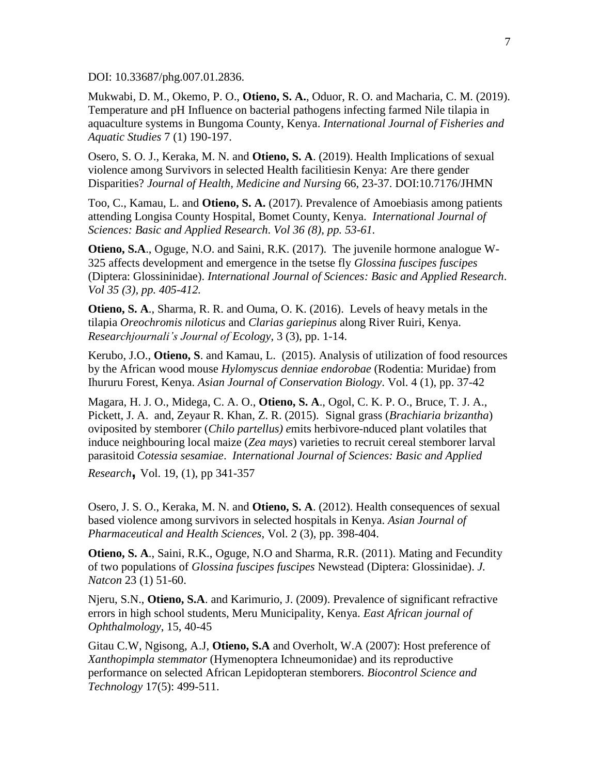DOI: 10.33687/phg.007.01.2836.

Mukwabi, D. M., Okemo, P. O., **Otieno, S. A.**, Oduor, R. O. and Macharia, C. M. (2019). Temperature and pH Influence on bacterial pathogens infecting farmed Nile tilapia in aquaculture systems in Bungoma County, Kenya. *International Journal of Fisheries and Aquatic Studies* 7 (1) 190-197.

Osero, S. O. J., Keraka, M. N. and **Otieno, S. A**. (2019). Health Implications of sexual violence among Survivors in selected Health facilitiesin Kenya: Are there gender Disparities? *Journal of Health, Medicine and Nursing* 66, 23-37. DOI:10.7176/JHMN

Too, C., Kamau, L. and **Otieno, S. A.** (2017). Prevalence of Amoebiasis among patients attending Longisa County Hospital, Bomet County, Kenya. *International Journal of Sciences: Basic and Applied Research*. *Vol 36 (8), pp. 53-61.*

**Otieno, S.A**., Oguge, N.O. and Saini, R.K. (2017). The juvenile hormone analogue W-325 affects development and emergence in the tsetse fly *Glossina fuscipes fuscipes* (Diptera: Glossininidae). *International Journal of Sciences: Basic and Applied Research*. *Vol 35 (3), pp. 405-412.*

**Otieno, S. A**., Sharma, R. R. and Ouma, O. K. (2016). Levels of heavy metals in the tilapia *Oreochromis niloticus* and *Clarias gariepinus* along River Ruiri, Kenya. *Researchjournali's Journal of Ecology*, 3 (3), pp. 1-14.

Kerubo, J.O., **Otieno, S**. and Kamau, L. (2015). Analysis of utilization of food resources by the African wood mouse *Hylomyscus denniae endorobae* (Rodentia: Muridae) from Ihururu Forest, Kenya. *Asian Journal of Conservation Biology*. Vol. 4 (1), pp. 37-42

Magara, H. J. O., Midega, C. A. O., **Otieno, S. A**., Ogol, C. K. P. O., Bruce, T. J. A., Pickett, J. A. and, Zeyaur R. Khan, Z. R. (2015). Signal grass (*Brachiaria brizantha*) oviposited by stemborer (*Chilo partellus) e*mits herbivore-nduced plant volatiles that induce neighbouring local maize (*Zea mays*) varieties to recruit cereal stemborer larval parasitoid *Cotessia sesamiae*. *International Journal of Sciences: Basic and Applied* 

*Research***,** Vol. 19, (1), pp 341-357

Osero, J. S. O., Keraka, M. N. and **Otieno, S. A**. (2012). Health consequences of sexual based violence among survivors in selected hospitals in Kenya. *Asian Journal of Pharmaceutical and Health Sciences*, Vol. 2 (3), pp. 398-404.

**Otieno, S. A**., Saini, R.K., Oguge, N.O and Sharma, R.R. (2011). Mating and Fecundity of two populations of *Glossina fuscipes fuscipes* Newstead (Diptera: Glossinidae). *J. Natcon* 23 (1) 51-60.

Njeru, S.N., **Otieno, S.A**. and Karimurio, J. (2009). Prevalence of significant refractive errors in high school students, Meru Municipality, Kenya. *East African journal of Ophthalmology*, 15, 40-45

Gitau C.W, Ngisong, A.J, **Otieno, S.A** and Overholt, W.A (2007): Host preference of *Xanthopimpla stemmator* (Hymenoptera Ichneumonidae) and its reproductive performance on selected African Lepidopteran stemborers. *Biocontrol Science and Technology* 17(5): 499-511.